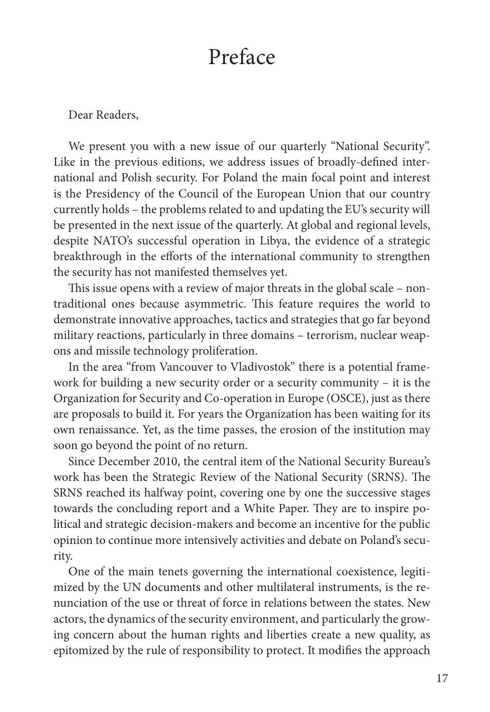## Preface

Dear Readers,

We present you with a new issue of our quarterly "National Security". Like in the previous editions, we address issues of broadly-defined international and Polish security. For Poland the main focal point and interest is the Presidency of the Council of the European Union that our country currently holds – the problems related to and updating the EU's security will be presented in the next issue of the quarterly. At global and regional levels, despite NATO's successful operation in Libya, the evidence of a strategic breakthrough in the efforts of the international community to strengthen the security has not manifested themselves yet.

This issue opens with a review of major threats in the global scale – nontraditional ones because asymmetric. This feature requires the world to demonstrate innovative approaches, tactics and strategies that go far beyond military reactions, particularly in three domains – terrorism, nuclear weapons and missile technology proliferation.

In the area "from Vancouver to Vladivostok" there is a potential framework for building a new security order or a security community – it is the Organization for Security and Co-operation in Europe (OSCE), just as there are proposals to build it. For years the Organization has been waiting for its own renaissance. Yet, as the time passes, the erosion of the institution may soon go beyond the point of no return.

Since December 2010, the central item of the National Security Bureau's work has been the Strategic Review of the National Security (SRNS). The SRNS reached its halfway point, covering one by one the successive stages towards the concluding report and a White Paper. They are to inspire political and strategic decision-makers and become an incentive for the public opinion to continue more intensively activities and debate on Poland's security.

One of the main tenets governing the international coexistence, legitimized by the UN documents and other multilateral instruments, is the renunciation of the use or threat of force in relations between the states. New actors, the dynamics of the security environment, and particularly the growing concern about the human rights and liberties create a new quality, as epitomized by the rule of responsibility to protect. It modifies the approach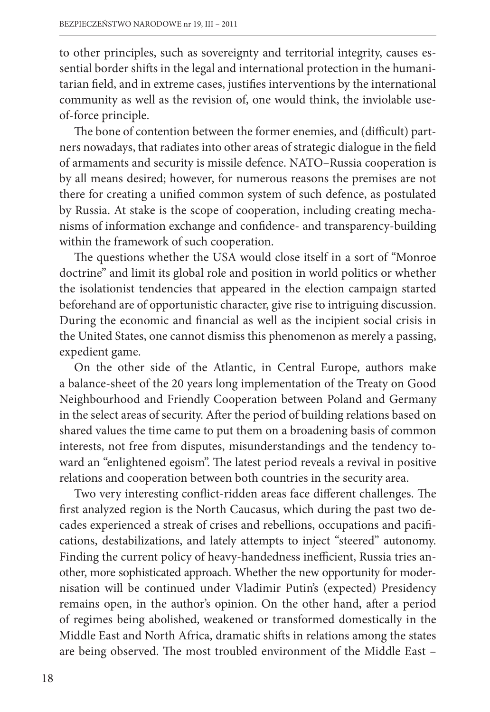to other principles, such as sovereignty and territorial integrity, causes essential border shifts in the legal and international protection in the humanitarian field, and in extreme cases, justifies interventions by the international community as well as the revision of, one would think, the inviolable useof-force principle.

The bone of contention between the former enemies, and (difficult) partners nowadays, that radiates into other areas of strategic dialogue in the field of armaments and security is missile defence. NATO–Russia cooperation is by all means desired; however, for numerous reasons the premises are not there for creating a unified common system of such defence, as postulated by Russia. At stake is the scope of cooperation, including creating mechanisms of information exchange and confidence- and transparency-building within the framework of such cooperation.

The questions whether the USA would close itself in a sort of "Monroe doctrine" and limit its global role and position in world politics or whether the isolationist tendencies that appeared in the election campaign started beforehand are of opportunistic character, give rise to intriguing discussion. During the economic and financial as well as the incipient social crisis in the United States, one cannot dismiss this phenomenon as merely a passing, expedient game.

On the other side of the Atlantic, in Central Europe, authors make a balance-sheet of the 20 years long implementation of the Treaty on Good Neighbourhood and Friendly Cooperation between Poland and Germany in the select areas of security. After the period of building relations based on shared values the time came to put them on a broadening basis of common interests, not free from disputes, misunderstandings and the tendency toward an "enlightened egoism". The latest period reveals a revival in positive relations and cooperation between both countries in the security area.

Two very interesting conflict-ridden areas face different challenges. The first analyzed region is the North Caucasus, which during the past two decades experienced a streak of crises and rebellions, occupations and pacifications, destabilizations, and lately attempts to inject "steered" autonomy. Finding the current policy of heavy-handedness inefficient, Russia tries another, more sophisticated approach. Whether the new opportunity for modernisation will be continued under Vladimir Putin's (expected) Presidency remains open, in the author's opinion. On the other hand, after a period of regimes being abolished, weakened or transformed domestically in the Middle East and North Africa, dramatic shifts in relations among the states are being observed. The most troubled environment of the Middle East -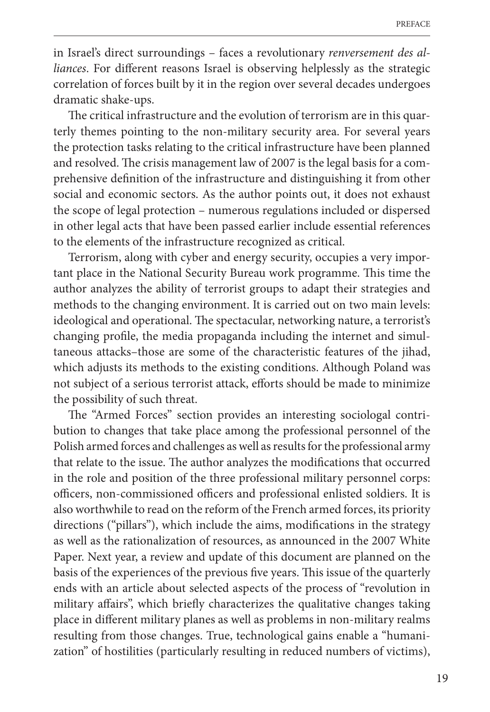in Israel's direct surroundings – faces a revolutionary *renversement des alliances*. For different reasons Israel is observing helplessly as the strategic correlation of forces built by it in the region over several decades undergoes dramatic shake-ups.

The critical infrastructure and the evolution of terrorism are in this quarterly themes pointing to the non-military security area. For several years the protection tasks relating to the critical infrastructure have been planned and resolved. The crisis management law of 2007 is the legal basis for a comprehensive definition of the infrastructure and distinguishing it from other social and economic sectors. As the author points out, it does not exhaust the scope of legal protection – numerous regulations included or dispersed in other legal acts that have been passed earlier include essential references to the elements of the infrastructure recognized as critical.

Terrorism, along with cyber and energy security, occupies a very important place in the National Security Bureau work programme. This time the author analyzes the ability of terrorist groups to adapt their strategies and methods to the changing environment. It is carried out on two main levels: ideological and operational. The spectacular, networking nature, a terrorist's changing profile, the media propaganda including the internet and simultaneous attacks–those are some of the characteristic features of the jihad, which adjusts its methods to the existing conditions. Although Poland was not subject of a serious terrorist attack, efforts should be made to minimize the possibility of such threat.

The "Armed Forces" section provides an interesting sociologal contribution to changes that take place among the professional personnel of the Polish armed forces and challenges as well as results for the professional army that relate to the issue. The author analyzes the modifications that occurred in the role and position of the three professional military personnel corps: officers, non-commissioned officers and professional enlisted soldiers. It is also worthwhile to read on the reform of the French armed forces, its priority directions ("pillars"), which include the aims, modifications in the strategy as well as the rationalization of resources, as announced in the 2007 White Paper. Next year, a review and update of this document are planned on the basis of the experiences of the previous five years. This issue of the quarterly ends with an article about selected aspects of the process of "revolution in military affairs", which briefly characterizes the qualitative changes taking place in different military planes as well as problems in non-military realms resulting from those changes. True, technological gains enable a "humanization" of hostilities (particularly resulting in reduced numbers of victims),